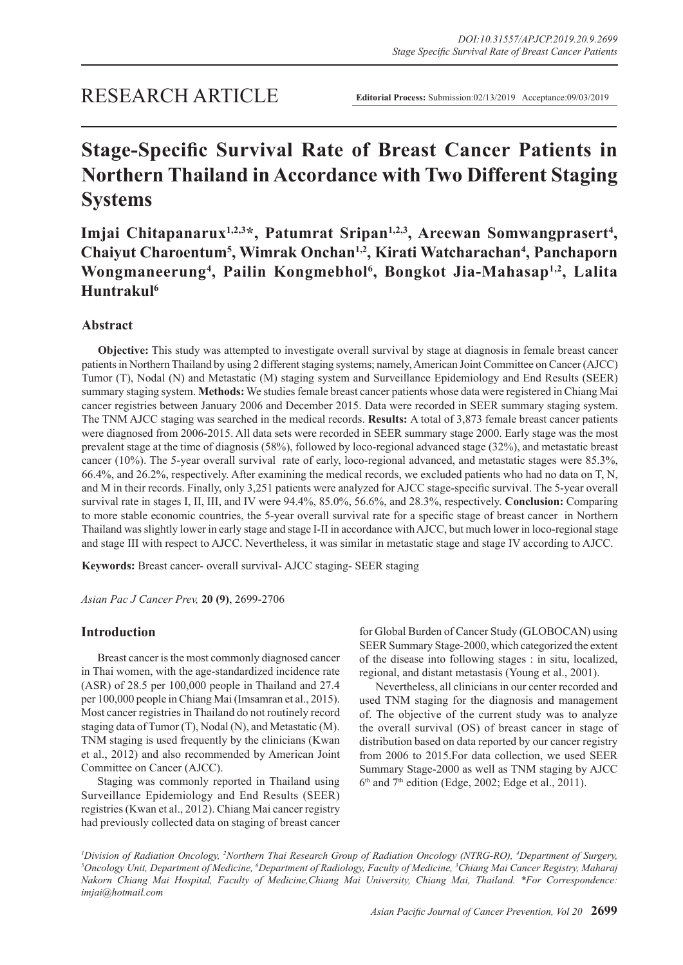# **Stage-Specific Survival Rate of Breast Cancer Patients in Northern Thailand in Accordance with Two Different Staging Systems**

Imjai Chitapanarux<sup>1,2,3\*</sup>, Patumrat Sripan<sup>1,2,3</sup>, Areewan Somwangprasert<sup>4</sup>, Chaiyut Charoentum<sup>5</sup>, Wimrak Onchan<sup>1,2</sup>, Kirati Watcharachan<sup>4</sup>, Panchaporn **Wongmaneerung4 , Pailin Kongmebhol<sup>6</sup> , Bongkot Jia-Mahasap1,2, Lalita Huntrakul6**

## **Abstract**

**Objective:** This study was attempted to investigate overall survival by stage at diagnosis in female breast cancer patients in Northern Thailand by using 2 different staging systems; namely, American Joint Committee on Cancer (AJCC) Tumor (T), Nodal (N) and Metastatic (M) staging system and Surveillance Epidemiology and End Results (SEER) summary staging system. **Methods:** We studies female breast cancer patients whose data were registered in Chiang Mai cancer registries between January 2006 and December 2015. Data were recorded in SEER summary staging system. The TNM AJCC staging was searched in the medical records. **Results:** A total of 3,873 female breast cancer patients were diagnosed from 2006-2015. All data sets were recorded in SEER summary stage 2000. Early stage was the most prevalent stage at the time of diagnosis (58%), followed by loco-regional advanced stage (32%), and metastatic breast cancer (10%). The 5-year overall survival rate of early, loco-regional advanced, and metastatic stages were 85.3%, 66.4%, and 26.2%, respectively. After examining the medical records, we excluded patients who had no data on T, N, and M in their records. Finally, only 3,251 patients were analyzed for AJCC stage-specific survival. The 5-year overall survival rate in stages I, II, III, and IV were 94.4%, 85.0%, 56.6%, and 28.3%, respectively. **Conclusion:** Comparing to more stable economic countries, the 5-year overall survival rate for a specific stage of breast cancer in Northern Thailand was slightly lower in early stage and stage I-II in accordance with AJCC, but much lower in loco-regional stage and stage III with respect to AJCC. Nevertheless, it was similar in metastatic stage and stage IV according to AJCC.

**Keywords:** Breast cancer- overall survival- AJCC staging- SEER staging

*Asian Pac J Cancer Prev,* **20 (9)**, 2699-2706

## **Introduction**

Breast cancer is the most commonly diagnosed cancer in Thai women, with the age-standardized incidence rate (ASR) of 28.5 per 100,000 people in Thailand and 27.4 per 100,000 people in Chiang Mai (Imsamran et al., 2015). Most cancer registries in Thailand do not routinely record staging data of Tumor (T), Nodal (N), and Metastatic (M). TNM staging is used frequently by the clinicians (Kwan et al., 2012) and also recommended by American Joint Committee on Cancer (AJCC).

Staging was commonly reported in Thailand using Surveillance Epidemiology and End Results (SEER) registries (Kwan et al., 2012). Chiang Mai cancer registry had previously collected data on staging of breast cancer

for Global Burden of Cancer Study (GLOBOCAN) using SEER Summary Stage-2000, which categorized the extent of the disease into following stages : in situ, localized, regional, and distant metastasis (Young et al., 2001).

Nevertheless, all clinicians in our center recorded and used TNM staging for the diagnosis and management of. The objective of the current study was to analyze the overall survival (OS) of breast cancer in stage of distribution based on data reported by our cancer registry from 2006 to 2015.For data collection, we used SEER Summary Stage-2000 as well as TNM staging by AJCC  $6<sup>th</sup>$  and  $7<sup>th</sup>$  edition (Edge, 2002; Edge et al., 2011).

*<sup>1</sup>Division of Radiation Oncology, <sup>2</sup>Northern Thai Research Group of Radiation Oncology (NTRG-RO), <sup>4</sup>Department of Surgery,<br><sup>5</sup>Oncology Unit, Department of Medicine, <sup>6</sup>Department of Radiology, Eaculty of Medicine, <sup>3</sup>C Oncology Unit, Department of Medicine, 6 Department of Radiology, Faculty of Medicine, 3 Chiang Mai Cancer Registry, Maharaj Nakorn Chiang Mai Hospital, Faculty of Medicine,Chiang Mai University, Chiang Mai, Thailand. \*For Correspondence: imjai@hotmail.com*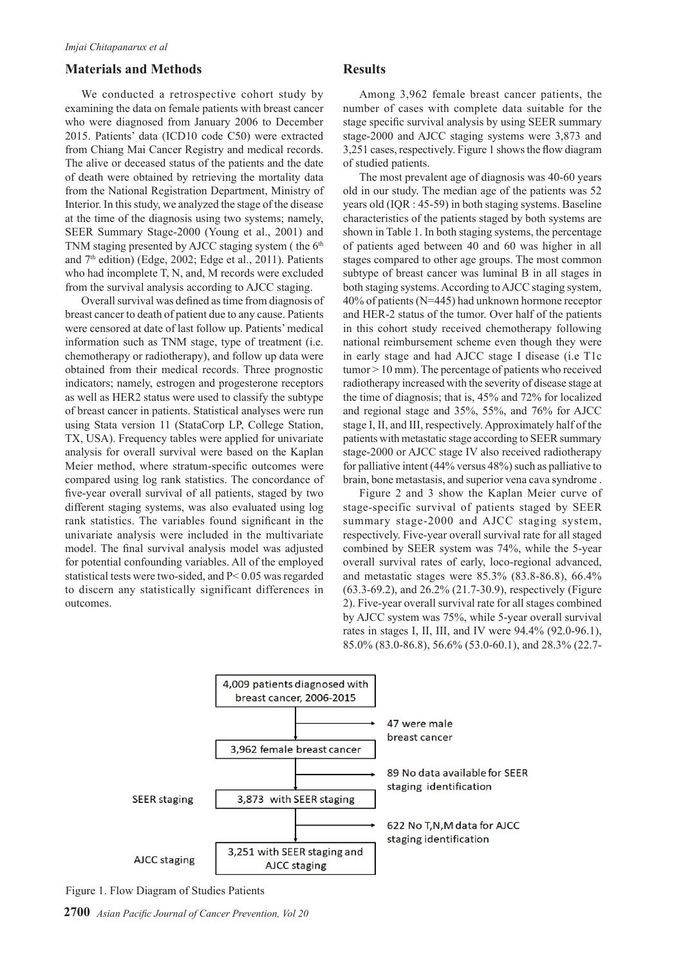### **Materials and Methods**

We conducted a retrospective cohort study by examining the data on female patients with breast cancer who were diagnosed from January 2006 to December 2015. Patients' data (ICD10 code C50) were extracted from Chiang Mai Cancer Registry and medical records. The alive or deceased status of the patients and the date of death were obtained by retrieving the mortality data from the National Registration Department, Ministry of Interior. In this study, we analyzed the stage of the disease at the time of the diagnosis using two systems; namely, SEER Summary Stage-2000 (Young et al., 2001) and TNM staging presented by AJCC staging system (the  $6<sup>th</sup>$ and  $7<sup>th</sup>$  edition) (Edge, 2002; Edge et al., 2011). Patients who had incomplete T, N, and, M records were excluded from the survival analysis according to AJCC staging.

Overall survival was defined as time from diagnosis of breast cancer to death of patient due to any cause. Patients were censored at date of last follow up. Patients' medical information such as TNM stage, type of treatment (i.e. chemotherapy or radiotherapy), and follow up data were obtained from their medical records. Three prognostic indicators; namely, estrogen and progesterone receptors as well as HER2 status were used to classify the subtype of breast cancer in patients. Statistical analyses were run using Stata version 11 (StataCorp LP, College Station, TX, USA). Frequency tables were applied for univariate analysis for overall survival were based on the Kaplan Meier method, where stratum-specific outcomes were compared using log rank statistics. The concordance of five-year overall survival of all patients, staged by two different staging systems, was also evaluated using log rank statistics. The variables found significant in the univariate analysis were included in the multivariate model. The final survival analysis model was adjusted for potential confounding variables. All of the employed statistical tests were two-sided, and P< 0.05 was regarded to discern any statistically significant differences in outcomes.

#### **Results**

Among 3,962 female breast cancer patients, the number of cases with complete data suitable for the stage specific survival analysis by using SEER summary stage-2000 and AJCC staging systems were 3,873 and 3,251 cases, respectively. Figure 1 shows the flow diagram of studied patients.

The most prevalent age of diagnosis was 40-60 years old in our study. The median age of the patients was 52 years old (IQR : 45-59) in both staging systems. Baseline characteristics of the patients staged by both systems are shown in Table 1. In both staging systems, the percentage of patients aged between 40 and 60 was higher in all stages compared to other age groups. The most common subtype of breast cancer was luminal B in all stages in both staging systems. According to AJCC staging system, 40% of patients (N=445) had unknown hormone receptor and HER-2 status of the tumor. Over half of the patients in this cohort study received chemotherapy following national reimbursement scheme even though they were in early stage and had AJCC stage I disease (i.e T1c tumor > 10 mm). The percentage of patients who received radiotherapy increased with the severity of disease stage at the time of diagnosis; that is, 45% and 72% for localized and regional stage and 35%, 55%, and 76% for AJCC stage I, II, and III, respectively. Approximately half of the patients with metastatic stage according to SEER summary stage-2000 or AJCC stage IV also received radiotherapy for palliative intent (44% versus 48%) such as palliative to brain, bone metastasis, and superior vena cava syndrome .

Figure 2 and 3 show the Kaplan Meier curve of stage-specific survival of patients staged by SEER summary stage-2000 and AJCC staging system, respectively. Five-year overall survival rate for all staged combined by SEER system was 74%, while the 5-year overall survival rates of early, loco-regional advanced, and metastatic stages were 85.3% (83.8-86.8), 66.4% (63.3-69.2), and 26.2% (21.7-30.9), respectively (Figure 2). Five-year overall survival rate for all stages combined by AJCC system was 75%, while 5-year overall survival rates in stages I, II, III, and IV were 94.4% (92.0-96.1), 85.0% (83.0-86.8), 56.6% (53.0-60.1), and 28.3% (22.7-



Figure 1. Flow Diagram of Studies Patients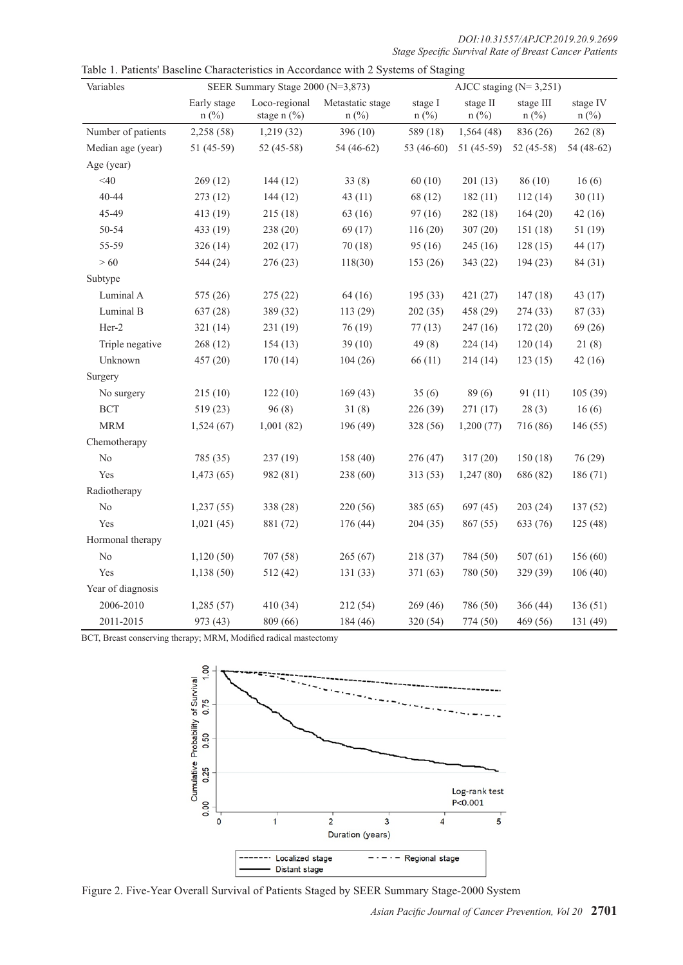| DOI:10.31557/APJCP.2019.20.9.2699                      |  |
|--------------------------------------------------------|--|
| Stage Specific Survival Rate of Breast Cancer Patients |  |

| Variables          | SEER Summary Stage 2000 (N=3,873) |                              |                                |                    | AJCC staging $(N=3,251)$ |                      |                     |  |
|--------------------|-----------------------------------|------------------------------|--------------------------------|--------------------|--------------------------|----------------------|---------------------|--|
|                    | Early stage<br>$n$ (%)            | Loco-regional<br>stage n (%) | Metastatic stage<br>$n$ $(\%)$ | stage I<br>$n$ (%) | stage II<br>$n$ (%)      | stage III<br>$n$ (%) | stage IV<br>$n$ (%) |  |
| Number of patients | 2,258 (58)                        | 1,219(32)                    | 396(10)                        | 589 (18)           | 1,564(48)                | 836 (26)             | 262(8)              |  |
| Median age (year)  | 51 (45-59)                        | 52 (45-58)                   | 54 (46-62)                     | 53 (46-60)         | 51 (45-59)               | 52 (45-58)           | 54 (48-62)          |  |
| Age (year)         |                                   |                              |                                |                    |                          |                      |                     |  |
| $<$ 40             | 269(12)                           | 144(12)                      | 33(8)                          | 60(10)             | 201(13)                  | 86(10)               | 16(6)               |  |
| 40-44              | 273 (12)                          | 144(12)                      | 43(11)                         | 68 (12)            | 182(11)                  | 112(14)              | 30(11)              |  |
| 45-49              | 413 (19)                          | 215(18)                      | 63 (16)                        | 97(16)             | 282(18)                  | 164(20)              | 42(16)              |  |
| 50-54              | 433 (19)                          | 238 (20)                     | 69 (17)                        | 116(20)            | 307(20)                  | 151(18)              | 51(19)              |  |
| 55-59              | 326(14)                           | 202(17)                      | 70(18)                         | 95(16)             | 245(16)                  | 128(15)              | 44 (17)             |  |
| >60                | 544 (24)                          | 276 (23)                     | 118(30)                        | 153 (26)           | 343 (22)                 | 194(23)              | 84 (31)             |  |
| Subtype            |                                   |                              |                                |                    |                          |                      |                     |  |
| Luminal A          | 575 (26)                          | 275(22)                      | 64 (16)                        | 195(33)            | 421(27)                  | 147(18)              | 43 (17)             |  |
| Luminal B          | 637 (28)                          | 389 (32)                     | 113 (29)                       | 202(35)            | 458 (29)                 | 274(33)              | 87 (33)             |  |
| Her-2              | 321(14)                           | 231 (19)                     | 76(19)                         | 77(13)             | 247(16)                  | 172(20)              | 69(26)              |  |
| Triple negative    | 268 (12)                          | 154(13)                      | 39(10)                         | 49(8)              | 224(14)                  | 120(14)              | 21(8)               |  |
| Unknown            | 457 (20)                          | 170(14)                      | 104(26)                        | 66(11)             | 214(14)                  | 123(15)              | 42(16)              |  |
| Surgery            |                                   |                              |                                |                    |                          |                      |                     |  |
| No surgery         | 215(10)                           | 122(10)                      | 169(43)                        | 35(6)              | 89(6)                    | 91(11)               | 105(39)             |  |
| <b>BCT</b>         | 519(23)                           | 96(8)                        | 31(8)                          | 226 (39)           | 271 (17)                 | 28(3)                | 16(6)               |  |
| <b>MRM</b>         | 1,524(67)                         | 1,001(82)                    | 196 (49)                       | 328 (56)           | 1,200(77)                | 716 (86)             | 146(55)             |  |
| Chemotherapy       |                                   |                              |                                |                    |                          |                      |                     |  |
| No                 | 785 (35)                          | 237(19)                      | 158(40)                        | 276(47)            | 317(20)                  | 150(18)              | 76(29)              |  |
| Yes                | 1,473(65)                         | 982 (81)                     | 238 (60)                       | 313(53)            | 1,247(80)                | 686 (82)             | 186 (71)            |  |
| Radiotherapy       |                                   |                              |                                |                    |                          |                      |                     |  |
| No                 | 1,237(55)                         | 338 (28)                     | 220 (56)                       | 385(65)            | 697(45)                  | 203(24)              | 137(52)             |  |
| Yes                | 1,021(45)                         | 881 (72)                     | 176 (44)                       | 204(35)            | 867 (55)                 | 633 (76)             | 125(48)             |  |
| Hormonal therapy   |                                   |                              |                                |                    |                          |                      |                     |  |
| $\rm No$           | 1,120(50)                         | 707 (58)                     | 265(67)                        | 218 (37)           | 784 (50)                 | 507(61)              | 156(60)             |  |
| Yes                | 1,138(50)                         | 512 (42)                     | 131(33)                        | 371(63)            | 780 (50)                 | 329 (39)             | 106(40)             |  |
| Year of diagnosis  |                                   |                              |                                |                    |                          |                      |                     |  |
| 2006-2010          | 1,285(57)                         | 410 (34)                     | 212 (54)                       | 269(46)            | 786 (50)                 | 366(44)              | 136(51)             |  |
| 2011-2015          | 973 (43)                          | 809 (66)                     | 184 (46)                       | 320 (54)           | 774 (50)                 | 469 (56)             | 131 (49)            |  |

| Table 1. Patients' Baseline Characteristics in Accordance with 2 Systems of Staging |  |
|-------------------------------------------------------------------------------------|--|
|-------------------------------------------------------------------------------------|--|

BCT, Breast conserving therapy; MRM, Modified radical mastectomy



Figure 2. Five-Year Overall Survival of Patients Staged by SEER Summary Stage-2000 System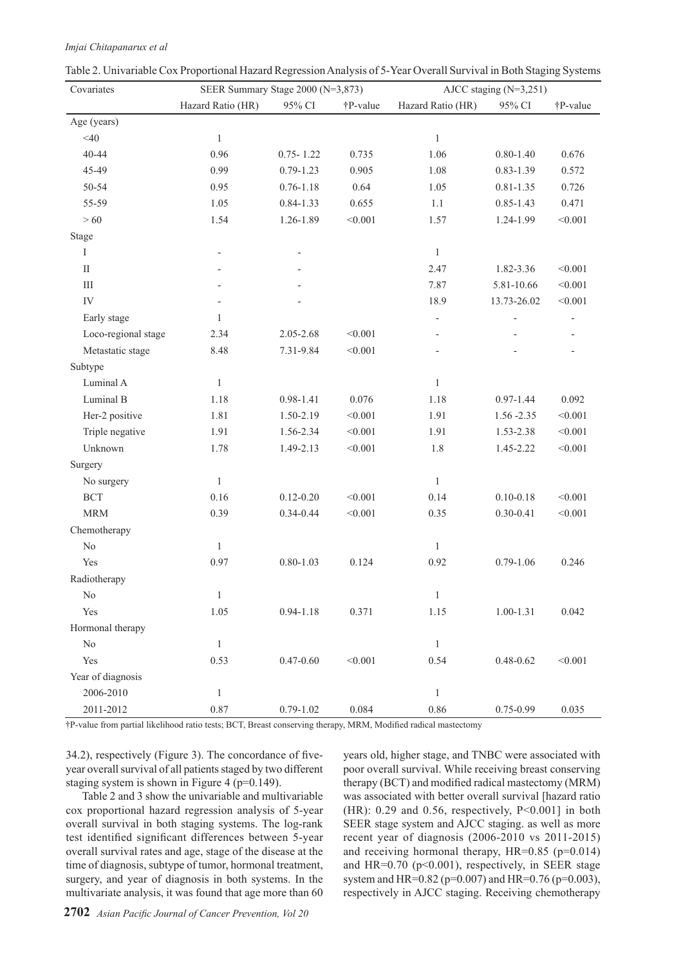| Covariates             | SEER Summary Stage 2000 (N=3,873) |               |          | AJCC staging $(N=3,251)$ |               |          |  |
|------------------------|-----------------------------------|---------------|----------|--------------------------|---------------|----------|--|
|                        | Hazard Ratio (HR)                 | 95% CI        | †P-value | Hazard Ratio (HR)        | 95% CI        | †P-value |  |
| Age (years)            |                                   |               |          |                          |               |          |  |
| $<$ 40                 | $\mathbf{1}$                      |               |          | $\mathbf{1}$             |               |          |  |
| 40-44                  | 0.96                              | $0.75 - 1.22$ | 0.735    | 1.06                     | $0.80 - 1.40$ | 0.676    |  |
| 45-49                  | 0.99                              | $0.79 - 1.23$ | 0.905    | 1.08                     | $0.83 - 1.39$ | 0.572    |  |
| 50-54                  | 0.95                              | $0.76 - 1.18$ | 0.64     | 1.05                     | $0.81 - 1.35$ | 0.726    |  |
| 55-59                  | 1.05                              | $0.84 - 1.33$ | 0.655    | 1.1                      | $0.85 - 1.43$ | 0.471    |  |
| >60                    | 1.54                              | 1.26-1.89     | < 0.001  | 1.57                     | 1.24-1.99     | < 0.001  |  |
| Stage                  |                                   |               |          |                          |               |          |  |
| I                      |                                   |               |          | $\mathbf{1}$             |               |          |  |
| $\mathop{\mathrm{II}}$ |                                   |               |          | 2.47                     | 1.82-3.36     | < 0.001  |  |
| Ш                      |                                   |               |          | 7.87                     | 5.81-10.66    | < 0.001  |  |
| IV                     |                                   |               |          | 18.9                     | 13.73-26.02   | < 0.001  |  |
| Early stage            | 1                                 |               |          | $\overline{\phantom{0}}$ |               |          |  |
| Loco-regional stage    | 2.34                              | 2.05-2.68     | < 0.001  | $\overline{\phantom{0}}$ |               |          |  |
| Metastatic stage       | 8.48                              | 7.31-9.84     | < 0.001  | $\overline{\phantom{m}}$ |               |          |  |
| Subtype                |                                   |               |          |                          |               |          |  |
| Luminal A              | $\mathbf{1}$                      |               |          | $\mathbf{1}$             |               |          |  |
| Luminal B              | 1.18                              | 0.98-1.41     | 0.076    | 1.18                     | $0.97 - 1.44$ | 0.092    |  |
| Her-2 positive         | 1.81                              | 1.50-2.19     | < 0.001  | 1.91                     | $1.56 - 2.35$ | < 0.001  |  |
| Triple negative        | 1.91                              | 1.56-2.34     | < 0.001  | 1.91                     | 1.53-2.38     | < 0.001  |  |
| Unknown                | 1.78                              | 1.49-2.13     | < 0.001  | $1.8\,$                  | 1.45-2.22     | < 0.001  |  |
| Surgery                |                                   |               |          |                          |               |          |  |
| No surgery             | $\mathbf{1}$                      |               |          | $\mathbf{1}$             |               |          |  |
| <b>BCT</b>             | 0.16                              | $0.12 - 0.20$ | < 0.001  | 0.14                     | $0.10 - 0.18$ | < 0.001  |  |
| <b>MRM</b>             | 0.39                              | 0.34-0.44     | < 0.001  | 0.35                     | $0.30 - 0.41$ | < 0.001  |  |
| Chemotherapy           |                                   |               |          |                          |               |          |  |
| $\rm No$               | $\mathbf{1}$                      |               |          | $\mathbf{1}$             |               |          |  |
| Yes                    | 0.97                              | $0.80 - 1.03$ | 0.124    | 0.92                     | $0.79 - 1.06$ | 0.246    |  |
| Radiotherapy           |                                   |               |          |                          |               |          |  |
| $\rm No$               | $\mathbf{1}$                      |               |          |                          |               |          |  |
| Yes                    | 1.05                              | $0.94 - 1.18$ | 0.371    | 1.15                     | $1.00 - 1.31$ | 0.042    |  |
| Hormonal therapy       |                                   |               |          |                          |               |          |  |
| $\rm No$               | $\mathbf{1}$                      |               |          | $\,1\,$                  |               |          |  |
| Yes                    | 0.53                              | $0.47 - 0.60$ | < 0.001  | 0.54                     | $0.48 - 0.62$ | < 0.001  |  |
| Year of diagnosis      |                                   |               |          |                          |               |          |  |
| 2006-2010              | $\mathbf{1}$                      |               |          | $\mathbf{1}$             |               |          |  |
| 2011-2012              | 0.87                              | $0.79 - 1.02$ | 0.084    | $0.86\,$                 | 0.75-0.99     | 0.035    |  |

|  | Table 2. Univariable Cox Proportional Hazard Regression Analysis of 5-Year Overall Survival in Both Staging Systems |  |  |
|--|---------------------------------------------------------------------------------------------------------------------|--|--|
|--|---------------------------------------------------------------------------------------------------------------------|--|--|

*Imjai Chitapanarux et al*

†P-value from partial likelihood ratio tests; BCT, Breast conserving therapy, MRM, Modified radical mastectomy

34.2), respectively (Figure 3). The concordance of fiveyear overall survival of all patients staged by two different staging system is shown in Figure 4 (p=0.149).

Table 2 and 3 show the univariable and multivariable cox proportional hazard regression analysis of 5-year overall survival in both staging systems. The log-rank test identified significant differences between 5-year overall survival rates and age, stage of the disease at the time of diagnosis, subtype of tumor, hormonal treatment, surgery, and year of diagnosis in both systems. In the multivariate analysis, it was found that age more than 60

years old, higher stage, and TNBC were associated with poor overall survival. While receiving breast conserving therapy (BCT) and modified radical mastectomy (MRM) was associated with better overall survival [hazard ratio  $(HR)$ : 0.29 and 0.56, respectively, P<0.001] in both SEER stage system and AJCC staging. as well as more recent year of diagnosis (2006-2010 vs 2011-2015) and receiving hormonal therapy, HR=0.85 (p=0.014) and HR= $0.70$  ( $p<0.001$ ), respectively, in SEER stage system and HR=0.82 (p=0.007) and HR=0.76 (p=0.003), respectively in AJCC staging. Receiving chemotherapy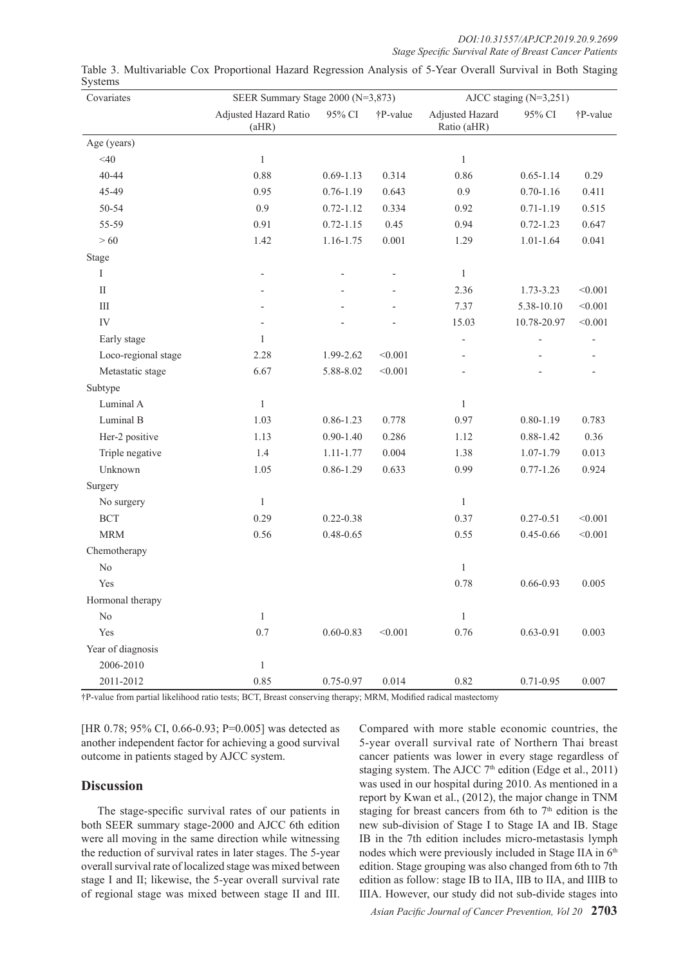*DOI:10.31557/APJCP.2019.20.9.2699 Stage Specific Survival Rate of Breast Cancer Patients* 

| $\mathcal{I}$ y december<br>Covariates | SEER Summary Stage 2000 (N=3,873) |               |          | AJCC staging $(N=3,251)$       |               |          |
|----------------------------------------|-----------------------------------|---------------|----------|--------------------------------|---------------|----------|
|                                        | Adjusted Hazard Ratio<br>(aHR)    | 95% CI        | †P-value | Adjusted Hazard<br>Ratio (aHR) | 95% CI        | †P-value |
| Age (years)                            |                                   |               |          |                                |               |          |
| $<$ 40                                 | $\mathbf{1}$                      |               |          | $\mathbf{1}$                   |               |          |
| 40-44                                  | 0.88                              | $0.69 - 1.13$ | 0.314    | 0.86                           | $0.65 - 1.14$ | 0.29     |
| 45-49                                  | 0.95                              | $0.76 - 1.19$ | 0.643    | 0.9                            | $0.70 - 1.16$ | 0.411    |
| 50-54                                  | $0.9\,$                           | $0.72 - 1.12$ | 0.334    | 0.92                           | $0.71 - 1.19$ | 0.515    |
| 55-59                                  | 0.91                              | $0.72 - 1.15$ | 0.45     | 0.94                           | $0.72 - 1.23$ | 0.647    |
| >60                                    | 1.42                              | 1.16-1.75     | 0.001    | 1.29                           | $1.01 - 1.64$ | 0.041    |
| Stage                                  |                                   |               |          |                                |               |          |
| Ι                                      | ÷                                 |               |          | $\mathbf{1}$                   |               |          |
| $\rm II$                               | $\overline{a}$                    |               |          | 2.36                           | 1.73-3.23     | < 0.001  |
| Ш                                      |                                   |               |          | 7.37                           | 5.38-10.10    | < 0.001  |
| IV                                     |                                   |               |          | 15.03                          | 10.78-20.97   | < 0.001  |
| Early stage                            | $\mathbf{1}$                      |               |          |                                |               |          |
| Loco-regional stage                    | 2.28                              | 1.99-2.62     | < 0.001  |                                |               |          |
| Metastatic stage                       | 6.67                              | 5.88-8.02     | < 0.001  |                                |               |          |
| Subtype                                |                                   |               |          |                                |               |          |
| Luminal A                              | $\mathbf{1}$                      |               |          | $\mathbf{1}$                   |               |          |
| Luminal B                              | 1.03                              | $0.86 - 1.23$ | 0.778    | 0.97                           | $0.80 - 1.19$ | 0.783    |
| Her-2 positive                         | 1.13                              | $0.90 - 1.40$ | 0.286    | 1.12                           | $0.88 - 1.42$ | 0.36     |
| Triple negative                        | 1.4                               | $1.11 - 1.77$ | 0.004    | 1.38                           | 1.07-1.79     | 0.013    |
| Unknown                                | 1.05                              | 0.86-1.29     | 0.633    | 0.99                           | $0.77 - 1.26$ | 0.924    |
| Surgery                                |                                   |               |          |                                |               |          |
| No surgery                             | $\mathbf{1}$                      |               |          | $\mathbf{1}$                   |               |          |
| <b>BCT</b>                             | 0.29                              | $0.22 - 0.38$ |          | 0.37                           | $0.27 - 0.51$ | < 0.001  |
| <b>MRM</b>                             | 0.56                              | $0.48 - 0.65$ |          | 0.55                           | $0.45 - 0.66$ | < 0.001  |
| Chemotherapy                           |                                   |               |          |                                |               |          |
| $\rm No$                               |                                   |               |          | $\mathbf{1}$                   |               |          |
| Yes                                    |                                   |               |          | 0.78                           | $0.66 - 0.93$ | 0.005    |
| Hormonal therapy                       |                                   |               |          |                                |               |          |
| $\rm No$                               | $\mathbf{1}$                      |               |          | $\mathbf{1}$                   |               |          |
| Yes                                    | 0.7                               | $0.60 - 0.83$ | < 0.001  | 0.76                           | $0.63 - 0.91$ | 0.003    |
| Year of diagnosis                      |                                   |               |          |                                |               |          |
| 2006-2010                              | $\mathbf{1}$                      |               |          |                                |               |          |
| 2011-2012                              | 0.85                              | 0.75-0.97     | 0.014    | 0.82                           | $0.71 - 0.95$ | 0.007    |

Table 3. Multivariable Cox Proportional Hazard Regression Analysis of 5-Year Overall Survival in Both Staging Systems

†P-value from partial likelihood ratio tests; BCT, Breast conserving therapy; MRM, Modified radical mastectomy

[HR 0.78; 95% CI, 0.66-0.93; P=0.005] was detected as another independent factor for achieving a good survival outcome in patients staged by AJCC system.

### **Discussion**

The stage-specific survival rates of our patients in both SEER summary stage-2000 and AJCC 6th edition were all moving in the same direction while witnessing the reduction of survival rates in later stages. The 5-year overall survival rate of localized stage was mixed between stage I and II; likewise, the 5-year overall survival rate of regional stage was mixed between stage II and III.

Compared with more stable economic countries, the 5-year overall survival rate of Northern Thai breast cancer patients was lower in every stage regardless of staging system. The AJCC 7<sup>th</sup> edition (Edge et al., 2011) was used in our hospital during 2010. As mentioned in a report by Kwan et al., (2012), the major change in TNM staging for breast cancers from 6th to  $7<sup>th</sup>$  edition is the new sub-division of Stage I to Stage IA and IB. Stage IB in the 7th edition includes micro-metastasis lymph nodes which were previously included in Stage IIA in 6th edition. Stage grouping was also changed from 6th to 7th edition as follow: stage IB to IIA, IIB to IIA, and IIIB to IIIA. However, our study did not sub-divide stages into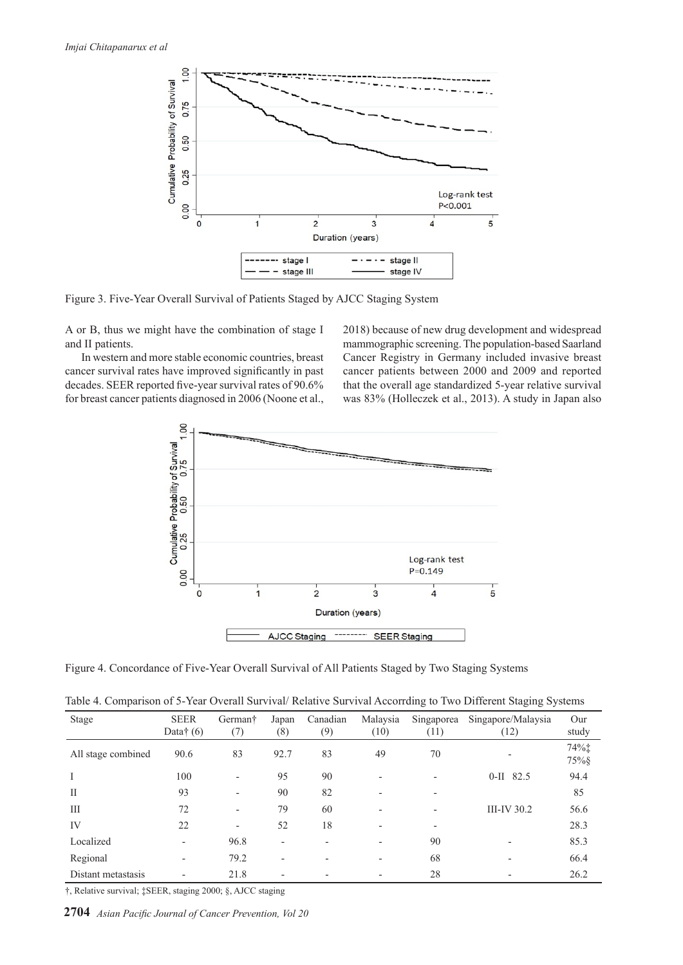

Figure 3. Five-Year Overall Survival of Patients Staged by AJCC Staging System

A or B, thus we might have the combination of stage I and II patients.

In western and more stable economic countries, breast cancer survival rates have improved significantly in past decades. SEER reported five-year survival rates of 90.6% for breast cancer patients diagnosed in 2006 (Noone et al.,

2018) because of new drug development and widespread mammographic screening. The population-based Saarland Cancer Registry in Germany included invasive breast cancer patients between 2000 and 2009 and reported that the overall age standardized 5-year relative survival was 83% (Holleczek et al., 2013). A study in Japan also



Figure 4. Concordance of Five-Year Overall Survival of All Patients Staged by Two Staging Systems

|  |  |  | Table 4. Comparison of 5-Year Overall Survival/Relative Survival Accorrding to Two Different Staging Systems |  |  |
|--|--|--|--------------------------------------------------------------------------------------------------------------|--|--|
|  |  |  |                                                                                                              |  |  |

| Stage              | <b>SEER</b><br>Data $\dagger$ (6) | German <sup>†</sup><br>(7) | Japan<br>(8)             | Canadian<br>(9)          | Malaysia<br>(10) | Singaporea<br>(11)       | Singapore/Malaysia<br>(12) | Our<br>study  |
|--------------------|-----------------------------------|----------------------------|--------------------------|--------------------------|------------------|--------------------------|----------------------------|---------------|
| All stage combined | 90.6                              | 83                         | 92.7                     | 83                       | 49               | 70                       |                            | 74%‡<br>75% § |
| I                  | 100                               | ۰                          | 95                       | 90                       |                  | $\overline{\phantom{a}}$ | $0-II$ 82.5                | 94.4          |
| $\mathcal{I}$      | 93                                | $\overline{\phantom{0}}$   | 90                       | 82                       |                  | $\overline{\phantom{a}}$ |                            | 85            |
| Ш                  | 72                                | $\overline{\phantom{0}}$   | 79                       | 60                       |                  | $\overline{\phantom{0}}$ | $III$ -IV 30.2             | 56.6          |
| IV                 | 22                                |                            | 52                       | 18                       |                  | ٠                        |                            | 28.3          |
| Localized          | $\overline{\phantom{a}}$          | 96.8                       | $\overline{\phantom{0}}$ | $\overline{\phantom{0}}$ |                  | 90                       |                            | 85.3          |
| Regional           | $\overline{\phantom{a}}$          | 79.2                       | $\overline{\phantom{0}}$ | $\overline{\phantom{0}}$ |                  | 68                       |                            | 66.4          |
| Distant metastasis | $\overline{\phantom{a}}$          | 21.8                       | $\overline{\phantom{a}}$ | $\overline{\phantom{0}}$ |                  | 28                       |                            | 26.2          |

†, Relative survival; ‡SEER, staging 2000; §, AJCC staging

**2704** *Asian Pacific Journal of Cancer Prevention, Vol 20*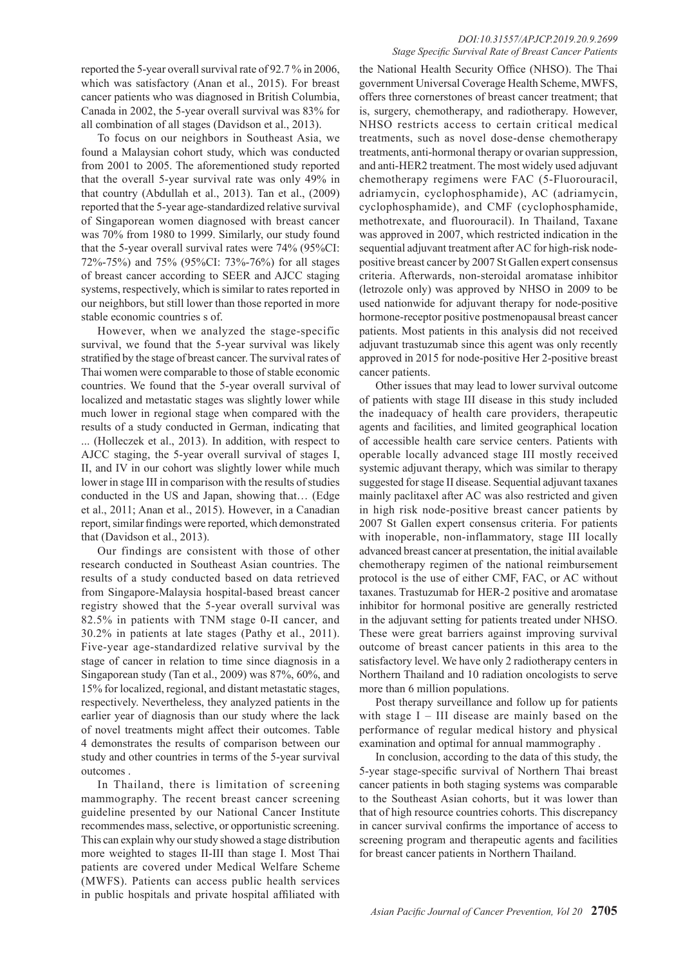reported the 5-year overall survival rate of 92.7 % in 2006, which was satisfactory (Anan et al., 2015). For breast cancer patients who was diagnosed in British Columbia, Canada in 2002, the 5-year overall survival was 83% for all combination of all stages (Davidson et al., 2013).

To focus on our neighbors in Southeast Asia, we found a Malaysian cohort study, which was conducted from 2001 to 2005. The aforementioned study reported that the overall 5-year survival rate was only 49% in that country (Abdullah et al., 2013). Tan et al., (2009) reported that the 5-year age-standardized relative survival of Singaporean women diagnosed with breast cancer was 70% from 1980 to 1999. Similarly, our study found that the 5-year overall survival rates were 74% (95%CI: 72%-75%) and 75% (95%CI: 73%-76%) for all stages of breast cancer according to SEER and AJCC staging systems, respectively, which is similar to rates reported in our neighbors, but still lower than those reported in more stable economic countries s of.

However, when we analyzed the stage-specific survival, we found that the 5-year survival was likely stratified by the stage of breast cancer. The survival rates of Thai women were comparable to those of stable economic countries. We found that the 5-year overall survival of localized and metastatic stages was slightly lower while much lower in regional stage when compared with the results of a study conducted in German, indicating that ... (Holleczek et al., 2013). In addition, with respect to AJCC staging, the 5-year overall survival of stages I, II, and IV in our cohort was slightly lower while much lower in stage III in comparison with the results of studies conducted in the US and Japan, showing that… (Edge et al., 2011; Anan et al., 2015). However, in a Canadian report, similar findings were reported, which demonstrated that (Davidson et al., 2013).

Our findings are consistent with those of other research conducted in Southeast Asian countries. The results of a study conducted based on data retrieved from Singapore-Malaysia hospital-based breast cancer registry showed that the 5-year overall survival was 82.5% in patients with TNM stage 0-II cancer, and 30.2% in patients at late stages (Pathy et al., 2011). Five-year age-standardized relative survival by the stage of cancer in relation to time since diagnosis in a Singaporean study (Tan et al., 2009) was 87%, 60%, and 15% for localized, regional, and distant metastatic stages, respectively. Nevertheless, they analyzed patients in the earlier year of diagnosis than our study where the lack of novel treatments might affect their outcomes. Table 4 demonstrates the results of comparison between our study and other countries in terms of the 5-year survival outcomes .

In Thailand, there is limitation of screening mammography. The recent breast cancer screening guideline presented by our National Cancer Institute recommendes mass, selective, or opportunistic screening. This can explain why our study showed a stage distribution more weighted to stages II-III than stage I. Most Thai patients are covered under Medical Welfare Scheme (MWFS). Patients can access public health services in public hospitals and private hospital affiliated with

#### *DOI:10.31557/APJCP.2019.20.9.2699 Stage Specific Survival Rate of Breast Cancer Patients*

the National Health Security Office (NHSO). The Thai government Universal Coverage Health Scheme, MWFS, offers three cornerstones of breast cancer treatment; that is, surgery, chemotherapy, and radiotherapy. However, NHSO restricts access to certain critical medical treatments, such as novel dose-dense chemotherapy treatments, anti-hormonal therapy or ovarian suppression, and anti-HER2 treatment. The most widely used adjuvant chemotherapy regimens were FAC (5-Fluorouracil, adriamycin, cyclophosphamide), AC (adriamycin, cyclophosphamide), and CMF (cyclophosphamide, methotrexate, and fluorouracil). In Thailand, Taxane was approved in 2007, which restricted indication in the sequential adjuvant treatment after AC for high-risk nodepositive breast cancer by 2007 St Gallen expert consensus criteria. Afterwards, non-steroidal aromatase inhibitor (letrozole only) was approved by NHSO in 2009 to be used nationwide for adjuvant therapy for node-positive hormone-receptor positive postmenopausal breast cancer patients. Most patients in this analysis did not received adjuvant trastuzumab since this agent was only recently approved in 2015 for node-positive Her 2-positive breast cancer patients.

Other issues that may lead to lower survival outcome of patients with stage III disease in this study included the inadequacy of health care providers, therapeutic agents and facilities, and limited geographical location of accessible health care service centers. Patients with operable locally advanced stage III mostly received systemic adjuvant therapy, which was similar to therapy suggested for stage II disease. Sequential adjuvant taxanes mainly paclitaxel after AC was also restricted and given in high risk node-positive breast cancer patients by 2007 St Gallen expert consensus criteria. For patients with inoperable, non-inflammatory, stage III locally advanced breast cancer at presentation, the initial available chemotherapy regimen of the national reimbursement protocol is the use of either CMF, FAC, or AC without taxanes. Trastuzumab for HER-2 positive and aromatase inhibitor for hormonal positive are generally restricted in the adjuvant setting for patients treated under NHSO. These were great barriers against improving survival outcome of breast cancer patients in this area to the satisfactory level. We have only 2 radiotherapy centers in Northern Thailand and 10 radiation oncologists to serve more than 6 million populations.

Post therapy surveillance and follow up for patients with stage I – III disease are mainly based on the performance of regular medical history and physical examination and optimal for annual mammography .

In conclusion, according to the data of this study, the 5-year stage-specific survival of Northern Thai breast cancer patients in both staging systems was comparable to the Southeast Asian cohorts, but it was lower than that of high resource countries cohorts. This discrepancy in cancer survival confirms the importance of access to screening program and therapeutic agents and facilities for breast cancer patients in Northern Thailand.